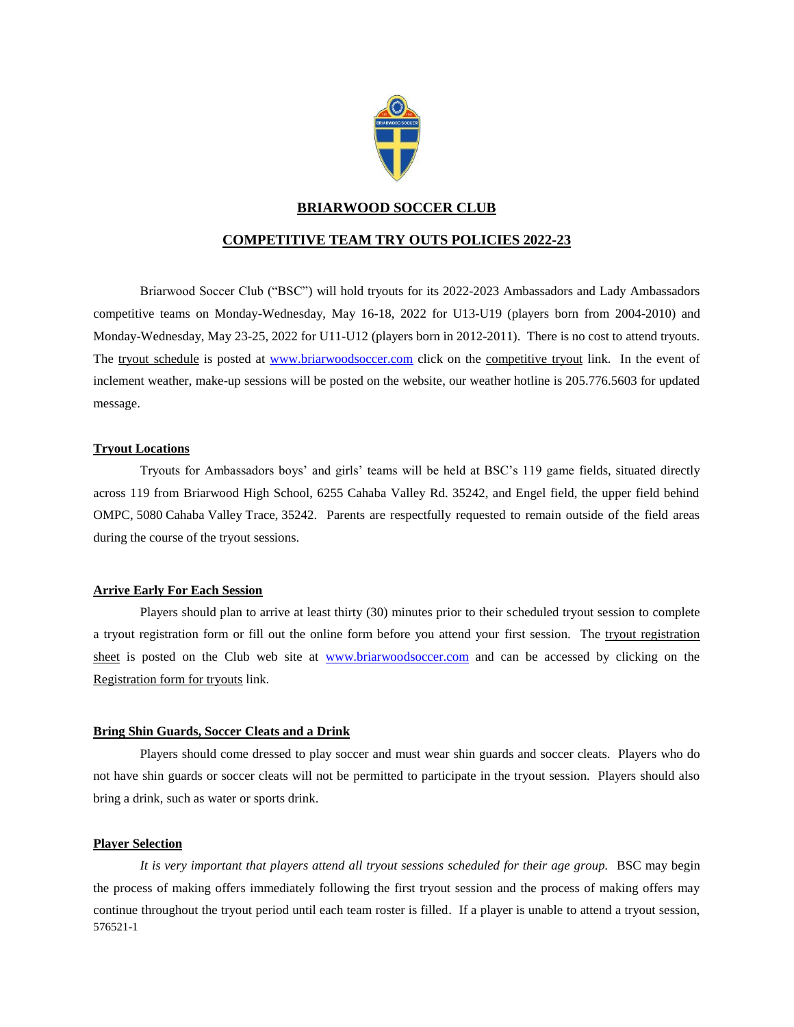

# **BRIARWOOD SOCCER CLUB**

# **COMPETITIVE TEAM TRY OUTS POLICIES 2022-23**

Briarwood Soccer Club ("BSC") will hold tryouts for its 2022-2023 Ambassadors and Lady Ambassadors competitive teams on Monday-Wednesday, May 16-18, 2022 for U13-U19 (players born from 2004-2010) and Monday-Wednesday, May 23-25, 2022 for U11-U12 (players born in 2012-2011). There is no cost to attend tryouts. The tryout schedule is posted at [www.briarwoodsoccer.com](http://www.briarwoodsoccer.com/) click on the competitive tryout link. In the event of inclement weather, make-up sessions will be posted on the website, our weather hotline is 205.776.5603 for updated message.

### **Tryout Locations**

Tryouts for Ambassadors boys' and girls' teams will be held at BSC's 119 game fields, situated directly across 119 from Briarwood High School, 6255 Cahaba Valley Rd. 35242, and Engel field, the upper field behind OMPC, 5080 Cahaba Valley Trace, 35242. Parents are respectfully requested to remain outside of the field areas during the course of the tryout sessions.

### **Arrive Early For Each Session**

Players should plan to arrive at least thirty (30) minutes prior to their scheduled tryout session to complete a tryout registration form or fill out the online form before you attend your first session. The tryout registration sheet is posted on the Club web site at [www.briarwoodsoccer.com](http://www.briarwoodsoccer.com/) and can be accessed by clicking on the Registration form for tryouts link.

### **Bring Shin Guards, Soccer Cleats and a Drink**

Players should come dressed to play soccer and must wear shin guards and soccer cleats. Players who do not have shin guards or soccer cleats will not be permitted to participate in the tryout session. Players should also bring a drink, such as water or sports drink.

### **Player Selection**

576521-1 *It is very important that players attend all tryout sessions scheduled for their age group.* BSC may begin the process of making offers immediately following the first tryout session and the process of making offers may continue throughout the tryout period until each team roster is filled. If a player is unable to attend a tryout session,